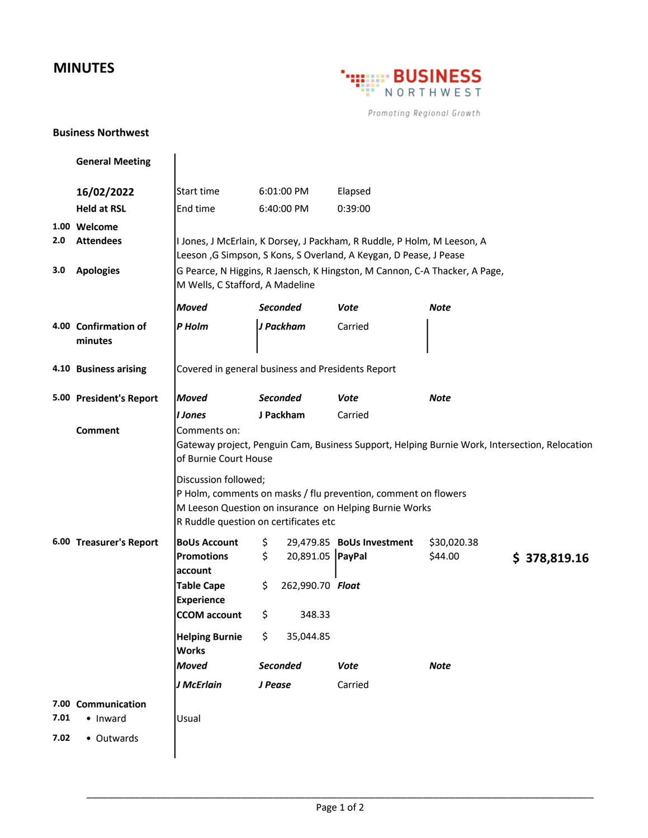## **MINUTES**



Promoting Regional Growth

## **Business Northwest**

|      | <b>General Meeting</b>           |                                                                                                                                                                                           |                                                                          |                           |                                                                                               |  |
|------|----------------------------------|-------------------------------------------------------------------------------------------------------------------------------------------------------------------------------------------|--------------------------------------------------------------------------|---------------------------|-----------------------------------------------------------------------------------------------|--|
|      | 16/02/2022                       | Start time                                                                                                                                                                                | 6:01:00 PM                                                               | Elapsed                   |                                                                                               |  |
|      | <b>Held at RSL</b>               | End time                                                                                                                                                                                  | 6:40:00 PM                                                               | 0:39:00                   |                                                                                               |  |
| 2.0  | 1.00 Welcome<br><b>Attendees</b> | I Jones, J McErlain, K Dorsey, J Packham, R Ruddle, P Holm, M Leeson, A<br>Leeson, G Simpson, S Kons, S Overland, A Keygan, D Pease, J Pease                                              |                                                                          |                           |                                                                                               |  |
| 3.0  | <b>Apologies</b>                 | G Pearce, N Higgins, R Jaensch, K Hingston, M Cannon, C-A Thacker, A Page,<br>M Wells, C Stafford, A Madeline                                                                             |                                                                          |                           |                                                                                               |  |
|      |                                  | <b>Moved</b>                                                                                                                                                                              | <b>Seconded</b>                                                          | Vote                      | Note                                                                                          |  |
|      | 4.00 Confirmation of<br>minutes  | P Holm                                                                                                                                                                                    | J Packham                                                                | Carried                   |                                                                                               |  |
|      | 4.10 Business arising            | Covered in general business and Presidents Report                                                                                                                                         |                                                                          |                           |                                                                                               |  |
|      | 5.00 President's Report          | <b>Moved</b>                                                                                                                                                                              | <b>Seconded</b>                                                          | Vote                      | <b>Note</b>                                                                                   |  |
|      |                                  | <b>I</b> Jones                                                                                                                                                                            | J Packham                                                                | Carried                   |                                                                                               |  |
|      | Comment                          | Comments on:<br>of Burnie Court House                                                                                                                                                     |                                                                          |                           | Gateway project, Penguin Cam, Business Support, Helping Burnie Work, Intersection, Relocation |  |
|      |                                  | Discussion followed;<br>P Holm, comments on masks / flu prevention, comment on flowers<br>M Leeson Question on insurance on Helping Burnie Works<br>R Ruddle question on certificates etc |                                                                          |                           |                                                                                               |  |
|      | 6.00 Treasurer's Report          | <b>BoUs Account</b><br><b>Promotions</b><br>account<br><b>Table Cape</b><br><b>Experience</b><br><b>CCOM</b> account                                                                      | \$<br>\$<br>20,891.05   PayPal<br>\$<br>262,990.70 Float<br>\$<br>348.33 | 29,479.85 BoUs Investment | \$30,020.38<br>\$44.00<br>\$378,819.16                                                        |  |
|      |                                  | <b>Helping Burnie</b><br><b>Works</b>                                                                                                                                                     | 35,044.85<br>\$.                                                         |                           |                                                                                               |  |
|      |                                  | <b>Moved</b>                                                                                                                                                                              | <b>Seconded</b>                                                          | <b>Vote</b>               | <b>Note</b>                                                                                   |  |
|      |                                  | J McErlain                                                                                                                                                                                | J Pease                                                                  | Carried                   |                                                                                               |  |
| 7.01 | 7.00 Communication<br>• Inward   | Usual                                                                                                                                                                                     |                                                                          |                           |                                                                                               |  |
| 7.02 | • Outwards                       |                                                                                                                                                                                           |                                                                          |                           |                                                                                               |  |